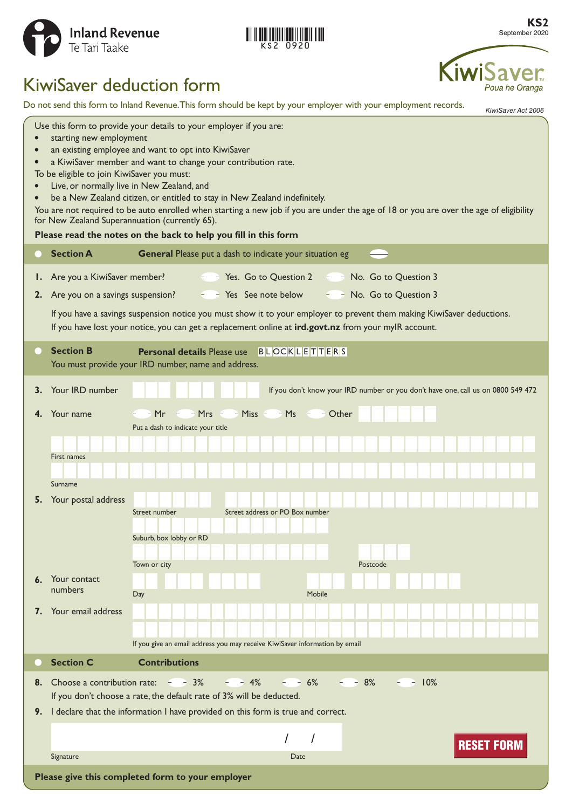

|  | KS2 0920 |  |
|--|----------|--|

**KS2** September 2020

# KiwiSaver deduction form

Do not send this form to Inland Revenue. This form should be kept by your employer with your employment records.

*KiwiSaver Act 2006*

Poua he Oranga

KiwiSa

| Use this form to provide your details to your employer if you are:<br>starting new employment<br>an existing employee and want to opt into KiwiSaver<br>a KiwiSaver member and want to change your contribution rate.<br>To be eligible to join KiwiSaver you must:<br>Live, or normally live in New Zealand, and<br>be a New Zealand citizen, or entitled to stay in New Zealand indefinitely.<br>You are not required to be auto enrolled when starting a new job if you are under the age of 18 or you are over the age of eligibility<br>for New Zealand Superannuation (currently 65).<br>Please read the notes on the back to help you fill in this form |                                                                                                                                                                                                                                 |                                                                                                        |  |  |
|----------------------------------------------------------------------------------------------------------------------------------------------------------------------------------------------------------------------------------------------------------------------------------------------------------------------------------------------------------------------------------------------------------------------------------------------------------------------------------------------------------------------------------------------------------------------------------------------------------------------------------------------------------------|---------------------------------------------------------------------------------------------------------------------------------------------------------------------------------------------------------------------------------|--------------------------------------------------------------------------------------------------------|--|--|
|                                                                                                                                                                                                                                                                                                                                                                                                                                                                                                                                                                                                                                                                | <b>Section A</b>                                                                                                                                                                                                                | General Please put a dash to indicate your situation eg                                                |  |  |
| Ι.                                                                                                                                                                                                                                                                                                                                                                                                                                                                                                                                                                                                                                                             | Are you a KiwiSaver member?                                                                                                                                                                                                     | $ -$ Yes. Go to Question 2 $ -$ No. Go to Question 3                                                   |  |  |
| 2.                                                                                                                                                                                                                                                                                                                                                                                                                                                                                                                                                                                                                                                             | $ -$ Yes See note below<br>Are you on a savings suspension?<br>$ -$ No. Go to Question 3                                                                                                                                        |                                                                                                        |  |  |
|                                                                                                                                                                                                                                                                                                                                                                                                                                                                                                                                                                                                                                                                | If you have a savings suspension notice you must show it to your employer to prevent them making KiwiSaver deductions.<br>If you have lost your notice, you can get a replacement online at ird.govt.nz from your mylR account. |                                                                                                        |  |  |
|                                                                                                                                                                                                                                                                                                                                                                                                                                                                                                                                                                                                                                                                | <b>Section B</b>                                                                                                                                                                                                                | <b>Personal details Please use</b> BLOCKLETTERS<br>You must provide your IRD number, name and address. |  |  |
| 3.                                                                                                                                                                                                                                                                                                                                                                                                                                                                                                                                                                                                                                                             | Your IRD number                                                                                                                                                                                                                 | If you don't know your IRD number or you don't have one, call us on 0800 549 472                       |  |  |
| 4.                                                                                                                                                                                                                                                                                                                                                                                                                                                                                                                                                                                                                                                             | Your name                                                                                                                                                                                                                       | $-Mr$ - $-Mrs$ - $-Miss$ - $MS$ - $-Scher$                                                             |  |  |
|                                                                                                                                                                                                                                                                                                                                                                                                                                                                                                                                                                                                                                                                |                                                                                                                                                                                                                                 | Put a dash to indicate your title                                                                      |  |  |
|                                                                                                                                                                                                                                                                                                                                                                                                                                                                                                                                                                                                                                                                | First names                                                                                                                                                                                                                     |                                                                                                        |  |  |
|                                                                                                                                                                                                                                                                                                                                                                                                                                                                                                                                                                                                                                                                |                                                                                                                                                                                                                                 |                                                                                                        |  |  |
| 5.                                                                                                                                                                                                                                                                                                                                                                                                                                                                                                                                                                                                                                                             | Surname<br>Your postal address                                                                                                                                                                                                  |                                                                                                        |  |  |
|                                                                                                                                                                                                                                                                                                                                                                                                                                                                                                                                                                                                                                                                |                                                                                                                                                                                                                                 | Street address or PO Box number<br>Street number                                                       |  |  |
|                                                                                                                                                                                                                                                                                                                                                                                                                                                                                                                                                                                                                                                                |                                                                                                                                                                                                                                 | Suburb, box lobby or RD                                                                                |  |  |
|                                                                                                                                                                                                                                                                                                                                                                                                                                                                                                                                                                                                                                                                |                                                                                                                                                                                                                                 | Town or city<br>Postcode                                                                               |  |  |
|                                                                                                                                                                                                                                                                                                                                                                                                                                                                                                                                                                                                                                                                | Your contact                                                                                                                                                                                                                    |                                                                                                        |  |  |
|                                                                                                                                                                                                                                                                                                                                                                                                                                                                                                                                                                                                                                                                | numbers                                                                                                                                                                                                                         | Mobile<br>Day                                                                                          |  |  |
| 7.                                                                                                                                                                                                                                                                                                                                                                                                                                                                                                                                                                                                                                                             | Your email address                                                                                                                                                                                                              |                                                                                                        |  |  |
|                                                                                                                                                                                                                                                                                                                                                                                                                                                                                                                                                                                                                                                                |                                                                                                                                                                                                                                 | If you give an email address you may receive KiwiSaver information by email                            |  |  |
|                                                                                                                                                                                                                                                                                                                                                                                                                                                                                                                                                                                                                                                                | <b>Section C</b>                                                                                                                                                                                                                | <b>Contributions</b>                                                                                   |  |  |
|                                                                                                                                                                                                                                                                                                                                                                                                                                                                                                                                                                                                                                                                | $ -$ 4% $ -$ 6% $ -$ 8%<br>8. Choose a contribution rate: $-3\%$<br>$-10%$                                                                                                                                                      |                                                                                                        |  |  |
|                                                                                                                                                                                                                                                                                                                                                                                                                                                                                                                                                                                                                                                                |                                                                                                                                                                                                                                 | If you don't choose a rate, the default rate of 3% will be deducted.                                   |  |  |
|                                                                                                                                                                                                                                                                                                                                                                                                                                                                                                                                                                                                                                                                |                                                                                                                                                                                                                                 | 9. I declare that the information I have provided on this form is true and correct.                    |  |  |
|                                                                                                                                                                                                                                                                                                                                                                                                                                                                                                                                                                                                                                                                |                                                                                                                                                                                                                                 | <b>RESET FORM</b>                                                                                      |  |  |
|                                                                                                                                                                                                                                                                                                                                                                                                                                                                                                                                                                                                                                                                | Signature                                                                                                                                                                                                                       | Date                                                                                                   |  |  |
|                                                                                                                                                                                                                                                                                                                                                                                                                                                                                                                                                                                                                                                                | Please give this completed form to your employer                                                                                                                                                                                |                                                                                                        |  |  |